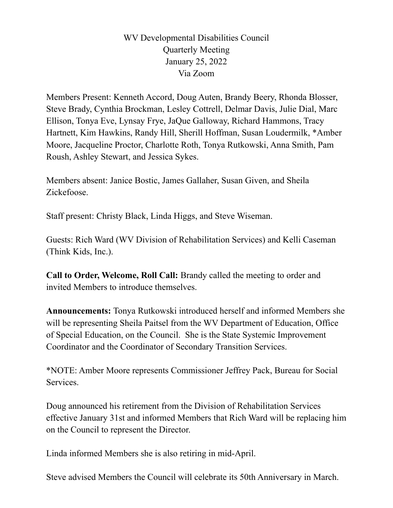WV Developmental Disabilities Council Quarterly Meeting January 25, 2022 Via Zoom

Members Present: Kenneth Accord, Doug Auten, Brandy Beery, Rhonda Blosser, Steve Brady, Cynthia Brockman, Lesley Cottrell, Delmar Davis, Julie Dial, Marc Ellison, Tonya Eve, Lynsay Frye, JaQue Galloway, Richard Hammons, Tracy Hartnett, Kim Hawkins, Randy Hill, Sherill Hoffman, Susan Loudermilk, \*Amber Moore, Jacqueline Proctor, Charlotte Roth, Tonya Rutkowski, Anna Smith, Pam Roush, Ashley Stewart, and Jessica Sykes.

Members absent: Janice Bostic, James Gallaher, Susan Given, and Sheila Zickefoose.

Staff present: Christy Black, Linda Higgs, and Steve Wiseman.

Guests: Rich Ward (WV Division of Rehabilitation Services) and Kelli Caseman (Think Kids, Inc.).

**Call to Order, Welcome, Roll Call:** Brandy called the meeting to order and invited Members to introduce themselves.

**Announcements:** Tonya Rutkowski introduced herself and informed Members she will be representing Sheila Paitsel from the WV Department of Education, Office of Special Education, on the Council. She is the State Systemic Improvement Coordinator and the Coordinator of Secondary Transition Services.

\*NOTE: Amber Moore represents Commissioner Jeffrey Pack, Bureau for Social Services.

Doug announced his retirement from the Division of Rehabilitation Services effective January 31st and informed Members that Rich Ward will be replacing him on the Council to represent the Director.

Linda informed Members she is also retiring in mid-April.

Steve advised Members the Council will celebrate its 50th Anniversary in March.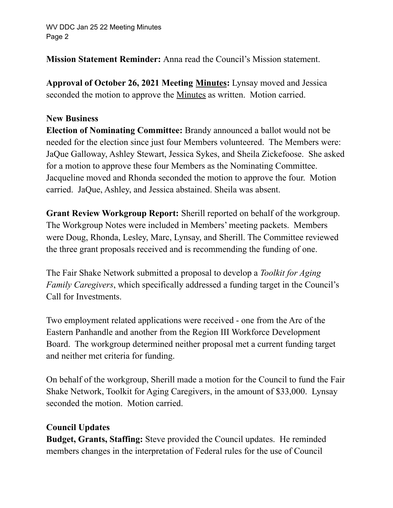**Mission Statement Reminder:** Anna read the Council's Mission statement.

**Approval of October 26, 2021 Meeting Minutes:** Lynsay moved and Jessica seconded the motion to approve the Minutes as written. Motion carried.

## **New Business**

**Election of Nominating Committee:** Brandy announced a ballot would not be needed for the election since just four Members volunteered. The Members were: JaQue Galloway, Ashley Stewart, Jessica Sykes, and Sheila Zickefoose. She asked for a motion to approve these four Members as the Nominating Committee. Jacqueline moved and Rhonda seconded the motion to approve the four. Motion carried. JaQue, Ashley, and Jessica abstained. Sheila was absent.

**Grant Review Workgroup Report:** Sherill reported on behalf of the workgroup. The Workgroup Notes were included in Members' meeting packets. Members were Doug, Rhonda, Lesley, Marc, Lynsay, and Sherill. The Committee reviewed the three grant proposals received and is recommending the funding of one.

The Fair Shake Network submitted a proposal to develop a *Toolkit for Aging Family Caregivers*, which specifically addressed a funding target in the Council's Call for Investments.

Two employment related applications were received - one from the Arc of the Eastern Panhandle and another from the Region III Workforce Development Board. The workgroup determined neither proposal met a current funding target and neither met criteria for funding.

On behalf of the workgroup, Sherill made a motion for the Council to fund the Fair Shake Network, Toolkit for Aging Caregivers, in the amount of \$33,000. Lynsay seconded the motion. Motion carried.

## **Council Updates**

**Budget, Grants, Staffing:** Steve provided the Council updates. He reminded members changes in the interpretation of Federal rules for the use of Council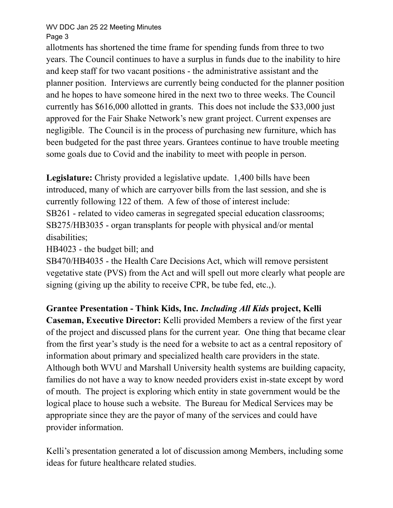## WV DDC Jan 25 22 Meeting Minutes Page 3

allotments has shortened the time frame for spending funds from three to two years. The Council continues to have a surplus in funds due to the inability to hire and keep staff for two vacant positions - the administrative assistant and the planner position. Interviews are currently being conducted for the planner position and he hopes to have someone hired in the next two to three weeks. The Council currently has \$616,000 allotted in grants. This does not include the \$33,000 just approved for the Fair Shake Network's new grant project. Current expenses are negligible. The Council is in the process of purchasing new furniture, which has been budgeted for the past three years. Grantees continue to have trouble meeting some goals due to Covid and the inability to meet with people in person.

**Legislature:** Christy provided a legislative update. 1,400 bills have been introduced, many of which are carryover bills from the last session, and she is currently following 122 of them. A few of those of interest include: SB261 - related to video cameras in segregated special education classrooms; SB275/HB3035 - organ transplants for people with physical and/or mental disabilities;

HB4023 - the budget bill; and

SB470/HB4035 - the Health Care Decisions Act, which will remove persistent vegetative state (PVS) from the Act and will spell out more clearly what people are signing (giving up the ability to receive CPR, be tube fed, etc.,).

**Grantee Presentation - Think Kids, Inc.** *Including All Kids* **project, Kelli Caseman, Executive Director:** Kelli provided Members a review of the first year of the project and discussed plans for the current year. One thing that became clear from the first year's study is the need for a website to act as a central repository of information about primary and specialized health care providers in the state. Although both WVU and Marshall University health systems are building capacity, families do not have a way to know needed providers exist in-state except by word of mouth. The project is exploring which entity in state government would be the logical place to house such a website. The Bureau for Medical Services may be appropriate since they are the payor of many of the services and could have provider information.

Kelli's presentation generated a lot of discussion among Members, including some ideas for future healthcare related studies.